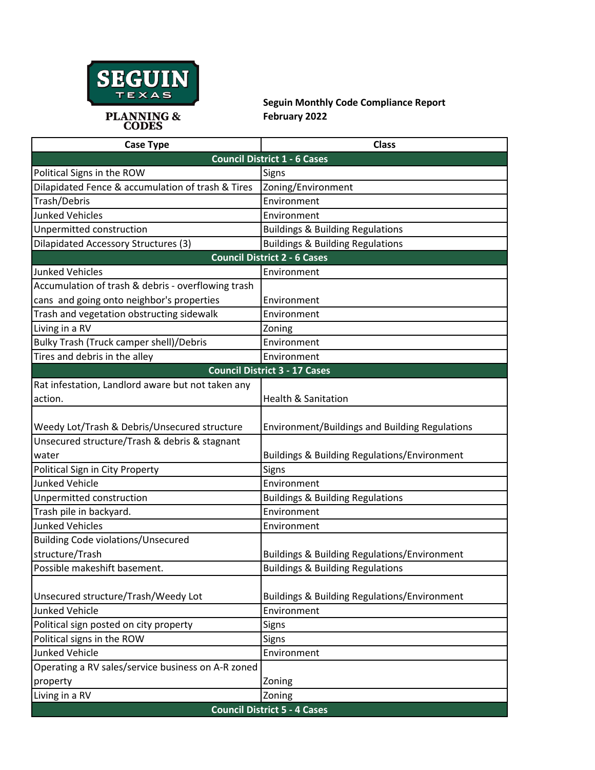

**Seguin Monthly Code Compliance Report February 2022**

| <b>Case Type</b>                                   | <b>Class</b>                                            |
|----------------------------------------------------|---------------------------------------------------------|
| <b>Council District 1 - 6 Cases</b>                |                                                         |
| Political Signs in the ROW                         | Signs                                                   |
| Dilapidated Fence & accumulation of trash & Tires  | Zoning/Environment                                      |
| Trash/Debris                                       | Environment                                             |
| <b>Junked Vehicles</b>                             | Environment                                             |
| Unpermitted construction                           | <b>Buildings &amp; Building Regulations</b>             |
| <b>Dilapidated Accessory Structures (3)</b>        | <b>Buildings &amp; Building Regulations</b>             |
| <b>Council District 2 - 6 Cases</b>                |                                                         |
| <b>Junked Vehicles</b>                             | Environment                                             |
| Accumulation of trash & debris - overflowing trash |                                                         |
| cans and going onto neighbor's properties          | Environment                                             |
| Trash and vegetation obstructing sidewalk          | Environment                                             |
| Living in a RV                                     | Zoning                                                  |
| Bulky Trash (Truck camper shell)/Debris            | Environment                                             |
| Tires and debris in the alley                      | Environment                                             |
| <b>Council District 3 - 17 Cases</b>               |                                                         |
| Rat infestation, Landlord aware but not taken any  |                                                         |
| action.                                            | <b>Health &amp; Sanitation</b>                          |
|                                                    |                                                         |
| Weedy Lot/Trash & Debris/Unsecured structure       | Environment/Buildings and Building Regulations          |
| Unsecured structure/Trash & debris & stagnant      |                                                         |
| water                                              | <b>Buildings &amp; Building Regulations/Environment</b> |
| Political Sign in City Property                    | Signs                                                   |
| <b>Junked Vehicle</b>                              | Environment                                             |
| Unpermitted construction                           | <b>Buildings &amp; Building Regulations</b>             |
| Trash pile in backyard.                            | Environment                                             |
| <b>Junked Vehicles</b>                             | Environment                                             |
| <b>Building Code violations/Unsecured</b>          |                                                         |
| structure/Trash                                    | <b>Buildings &amp; Building Regulations/Environment</b> |
| Possible makeshift basement.                       | <b>Buildings &amp; Building Regulations</b>             |
|                                                    |                                                         |
| Unsecured structure/Trash/Weedy Lot                | <b>Buildings &amp; Building Regulations/Environment</b> |
| <b>Junked Vehicle</b>                              | Environment                                             |
| Political sign posted on city property             | Signs                                                   |
| Political signs in the ROW                         | <b>Signs</b>                                            |
| Junked Vehicle                                     | Environment                                             |
| Operating a RV sales/service business on A-R zoned |                                                         |
| property                                           | Zoning                                                  |
| Living in a RV                                     | Zoning                                                  |
| <b>Council District 5 - 4 Cases</b>                |                                                         |